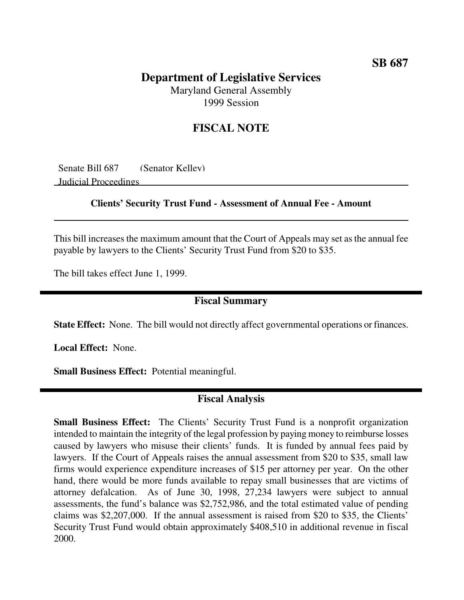## **SB 687**

## **Department of Legislative Services** Maryland General Assembly

1999 Session

# **FISCAL NOTE**

Senate Bill 687 (Senator Kelley) Judicial Proceedings

#### **Clients' Security Trust Fund - Assessment of Annual Fee - Amount**

This bill increases the maximum amount that the Court of Appeals may set as the annual fee payable by lawyers to the Clients' Security Trust Fund from \$20 to \$35.

The bill takes effect June 1, 1999.

### **Fiscal Summary**

**State Effect:** None. The bill would not directly affect governmental operations or finances.

**Local Effect:** None.

**Small Business Effect:** Potential meaningful.

### **Fiscal Analysis**

**Small Business Effect:** The Clients' Security Trust Fund is a nonprofit organization intended to maintain the integrity of the legal profession by paying money to reimburse losses caused by lawyers who misuse their clients' funds. It is funded by annual fees paid by lawyers. If the Court of Appeals raises the annual assessment from \$20 to \$35, small law firms would experience expenditure increases of \$15 per attorney per year. On the other hand, there would be more funds available to repay small businesses that are victims of attorney defalcation. As of June 30, 1998, 27,234 lawyers were subject to annual assessments, the fund's balance was \$2,752,986, and the total estimated value of pending claims was \$2,207,000. If the annual assessment is raised from \$20 to \$35, the Clients' Security Trust Fund would obtain approximately \$408,510 in additional revenue in fiscal 2000.